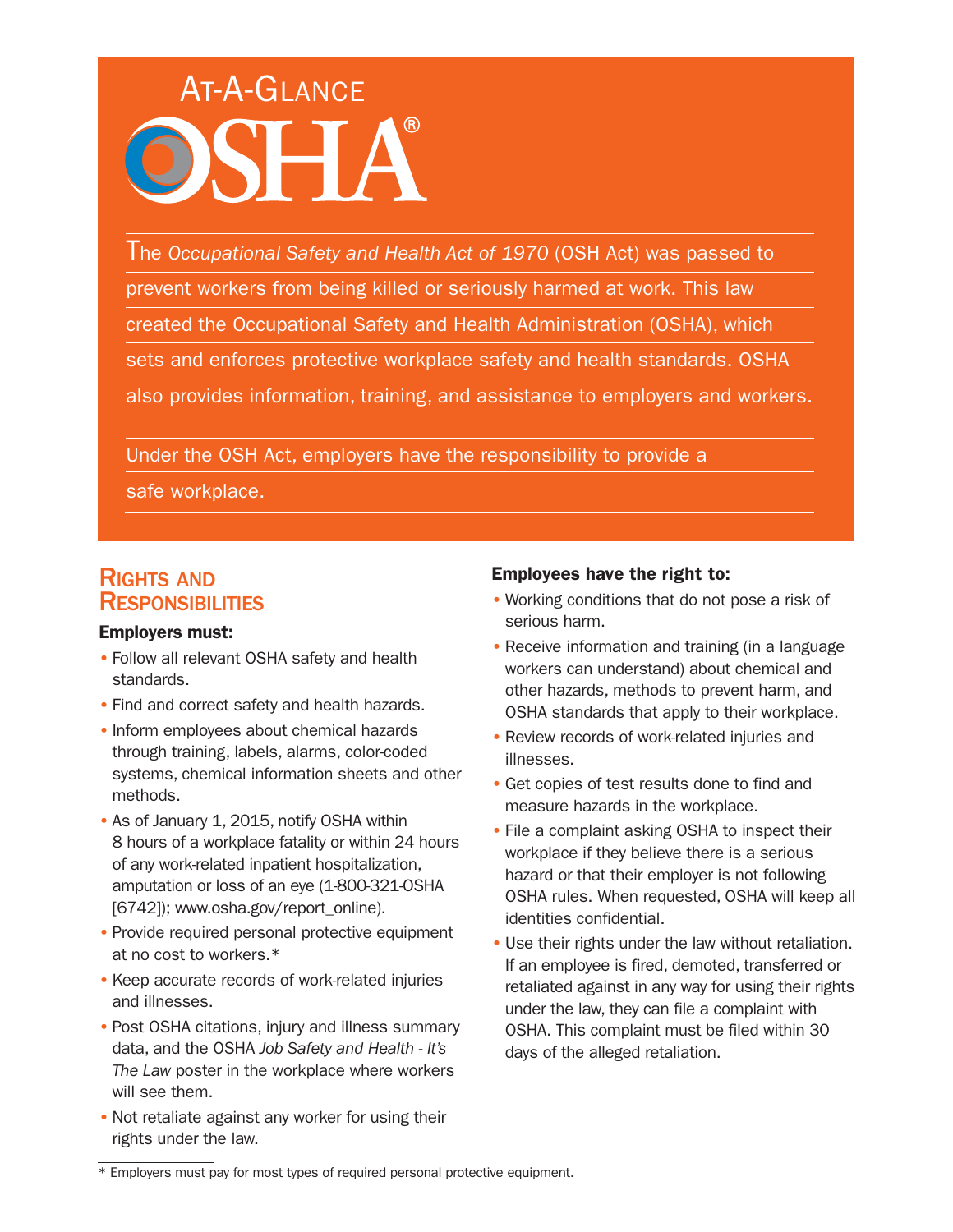# AT-A-GLANCE

The *Occupational Safety and Health Act of 1970* (OSH Act) was passed to prevent workers from being killed or seriously harmed at work. This law created the Occupational Safety and Health Administration (OSHA), which sets and enforces protective workplace safety and health standards. OSHA also provides information, training, and assistance to employers and workers.

Under the OSH Act, employers have the responsibility to provide a

safe workplace.

## RIGHTS AND **RESPONSIBILITIES**

## Employers must:

- Follow all relevant OSHA safety and health standards.
- Find and correct safety and health hazards.
- Inform employees about chemical hazards through training, labels, alarms, color-coded systems, chemical information sheets and other methods.
- As of January 1, 2015, notify OSHA within 8 hours of a workplace fatality or within 24 hours of any work-related inpatient hospitalization, amputation or loss of an eye (1-800-321-OSHA [6742]); www.osha.gov/report\_online).
- Provide required personal protective equipment at no cost to workers.\*
- Keep accurate records of work-related injuries and illnesses.
- Post OSHA citations, injury and illness summary data, and the OSHA *Job Safety and Health - It's The Law* poster in the workplace where workers will see them.
- Not retaliate against any worker for using their rights under the law.

## Employees have the right to:

- Working conditions that do not pose a risk of serious harm.
- Receive information and training (in a language workers can understand) about chemical and other hazards, methods to prevent harm, and OSHA standards that apply to their workplace.
- Review records of work-related injuries and illnesses.
- Get copies of test results done to find and measure hazards in the workplace.
- File a complaint asking OSHA to inspect their workplace if they believe there is a serious hazard or that their employer is not following OSHA rules. When requested, OSHA will keep all identities confidential.
- Use their rights under the law without retaliation. If an employee is fired, demoted, transferred or retaliated against in any way for using their rights under the law, they can file a complaint with OSHA. This complaint must be filed within 30 days of the alleged retaliation.

<sup>\*</sup> Employers must pay for most types of required personal protective equipment.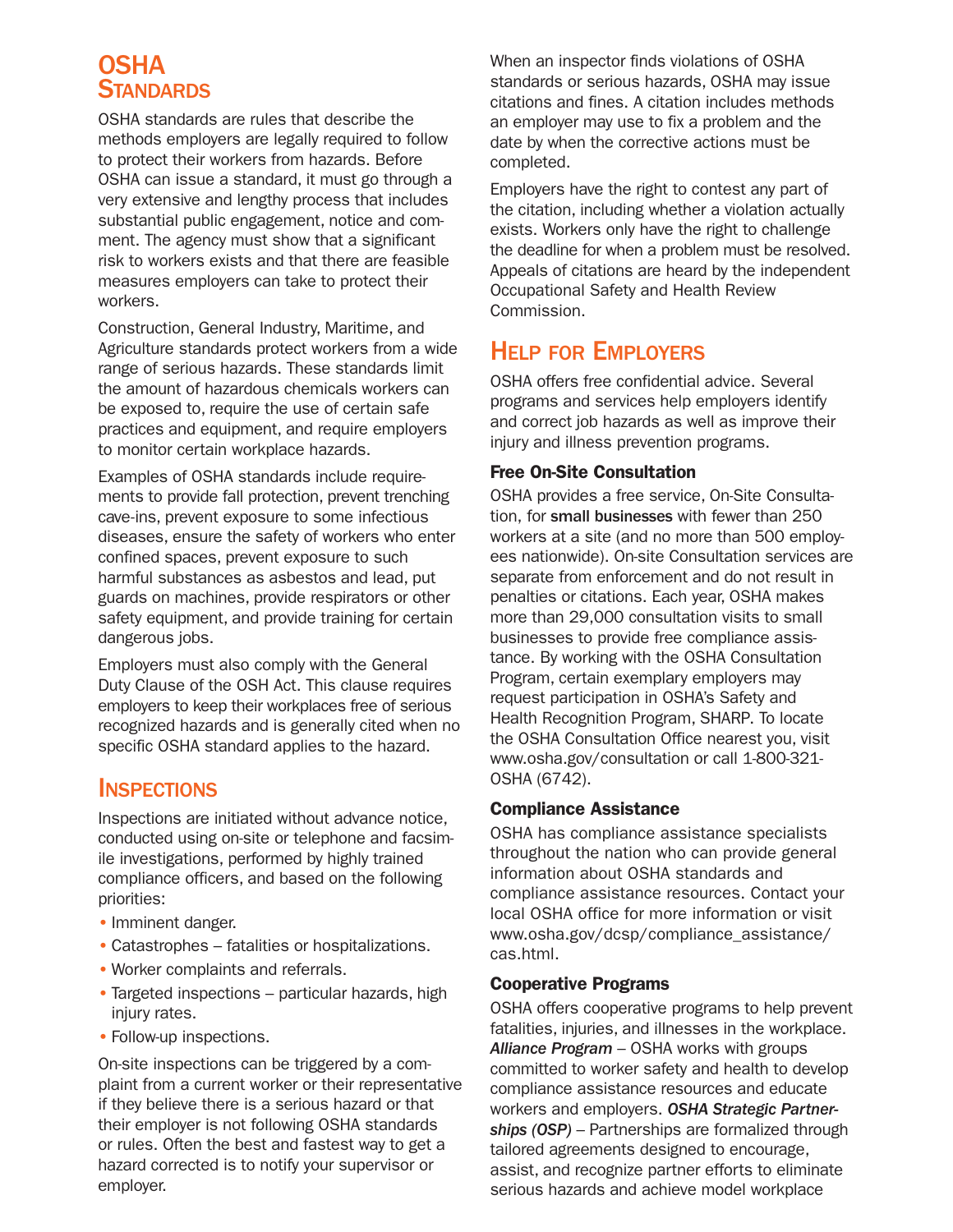# **OSHA STANDARDS**

OSHA standards are rules that describe the methods employers are legally required to follow to protect their workers from hazards. Before OSHA can issue a standard, it must go through a very extensive and lengthy process that includes substantial public engagement, notice and comment. The agency must show that a significant risk to workers exists and that there are feasible measures employers can take to protect their workers.

Construction, General Industry, Maritime, and Agriculture standards protect workers from a wide range of serious hazards. These standards limit the amount of hazardous chemicals workers can be exposed to, require the use of certain safe practices and equipment, and require employers to monitor certain workplace hazards.

Examples of OSHA standards include requirements to provide fall protection, prevent trenching cave-ins, prevent exposure to some infectious diseases, ensure the safety of workers who enter confined spaces, prevent exposure to such harmful substances as asbestos and lead, put guards on machines, provide respirators or other safety equipment, and provide training for certain dangerous jobs.

Employers must also comply with the General Duty Clause of the OSH Act. This clause requires employers to keep their workplaces free of serious recognized hazards and is generally cited when no specific OSHA standard applies to the hazard.

## **INSPECTIONS**

Inspections are initiated without advance notice, conducted using on-site or telephone and facsimile investigations, performed by highly trained compliance officers, and based on the following priorities:

- Imminent danger.
- Catastrophes fatalities or hospitalizations.
- Worker complaints and referrals.
- Targeted inspections particular hazards, high injury rates.
- Follow-up inspections.

On-site inspections can be triggered by a complaint from a current worker or their representative if they believe there is a serious hazard or that their employer is not following OSHA standards or rules. Often the best and fastest way to get a hazard corrected is to notify your supervisor or employer.

When an inspector finds violations of OSHA standards or serious hazards, OSHA may issue citations and fines. A citation includes methods an employer may use to fix a problem and the date by when the corrective actions must be completed.

Employers have the right to contest any part of the citation, including whether a violation actually exists. Workers only have the right to challenge the deadline for when a problem must be resolved. Appeals of citations are heard by the independent Occupational Safety and Health Review Commission.

# HELP FOR EMPLOYERS

OSHA offers free confidential advice. Several programs and services help employers identify and correct job hazards as well as improve their injury and illness prevention programs.

## Free On-Site Consultation

OSHA provides a free service, On-Site Consultation, for small businesses with fewer than 250 workers at a site (and no more than 500 employees nationwide). On-site Consultation services are separate from enforcement and do not result in penalties or citations. Each year, OSHA makes more than 29,000 consultation visits to small businesses to provide free compliance assistance. By working with the OSHA Consultation Program, certain exemplary employers may request participation in OSHA's Safety and Health Recognition Program, SHARP. To locate the OSHA Consultation Office nearest you, visit www.osha.gov/consultation or call 1-800-321- OSHA (6742).

## Compliance Assistance

OSHA has compliance assistance specialists throughout the nation who can provide general information about OSHA standards and compliance assistance resources. Contact your local OSHA office for more information or visit www.osha.gov/dcsp/compliance\_assistance/ cas.html.

## Cooperative Programs

OSHA offers cooperative programs to help prevent fatalities, injuries, and illnesses in the workplace. *Alliance Program* – OSHA works with groups committed to worker safety and health to develop compliance assistance resources and educate workers and employers. *OSHA Strategic Partnerships (OSP)* – Partnerships are formalized through tailored agreements designed to encourage, assist, and recognize partner efforts to eliminate serious hazards and achieve model workplace